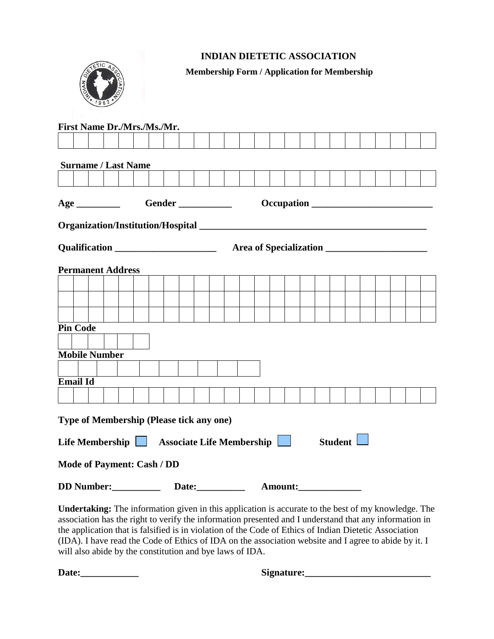## **INDIAN DIETETIC ASSOCIATION**



**Membership Form / Application for Membership**

| <b>Permanent Address</b> |  |
|--------------------------|--|
|                          |  |
|                          |  |
|                          |  |
| <b>Pin Code</b>          |  |
|                          |  |
| <b>Mobile Number</b>     |  |
| <b>Email Id</b>          |  |
|                          |  |

**Undertaking:** The information given in this application is accurate to the best of my knowledge. The association has the right to verify the information presented and I understand that any information in the application that is falsified is in violation of the Code of Ethics of Indian Dietetic Association (IDA). I have read the Code of Ethics of IDA on the association website and I agree to abide by it. I will also abide by the constitution and bye laws of IDA.

**Date:\_\_\_\_\_\_\_\_\_\_\_\_ Signature:\_\_\_\_\_\_\_\_\_\_\_\_\_\_\_\_\_\_\_\_\_\_\_\_\_\_**